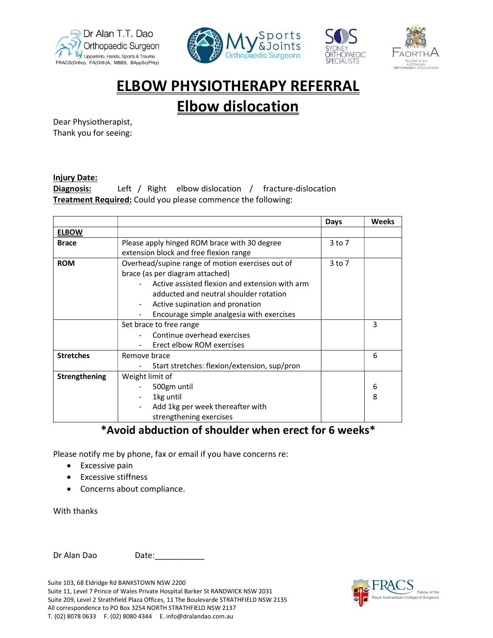







# ELBOW PHYSIOTHERAPY REFERRAL

## Elbow dislocation

Dear Physiotherapist, Thank you for seeing:

#### Injury Date:

**Diagnosis:** Left / Right elbow dislocation / fracture-dislocation Treatment Required: Could you please commence the following:

|                  |                                                  | Days       | <b>Weeks</b> |
|------------------|--------------------------------------------------|------------|--------------|
| <b>ELBOW</b>     |                                                  |            |              |
| <b>Brace</b>     | Please apply hinged ROM brace with 30 degree     | 3 to 7     |              |
|                  | extension block and free flexion range           |            |              |
| <b>ROM</b>       | Overhead/supine range of motion exercises out of | $3$ to $7$ |              |
|                  | brace (as per diagram attached)                  |            |              |
|                  | Active assisted flexion and extension with arm   |            |              |
|                  | adducted and neutral shoulder rotation           |            |              |
|                  | Active supination and pronation                  |            |              |
|                  | Encourage simple analgesia with exercises        |            |              |
|                  | Set brace to free range                          |            | 3            |
|                  | Continue overhead exercises                      |            |              |
|                  | Erect elbow ROM exercises                        |            |              |
| <b>Stretches</b> | Remove brace                                     |            | 6            |
|                  | Start stretches: flexion/extension, sup/pron     |            |              |
| Strengthening    | Weight limit of                                  |            |              |
|                  | 500gm until                                      |            | 6            |
|                  | 1kg until                                        |            | 8            |
|                  | Add 1kg per week thereafter with                 |            |              |
|                  | strengthening exercises                          |            |              |

### \*Avoid abduction of shoulder when erect for 6 weeks\*

Please notify me by phone, fax or email if you have concerns re:

- Excessive pain
- Excessive stiffness
- Concerns about compliance.

With thanks

Dr Alan Dao Date:

Suite 103, 68 Eldridge Rd BANKSTOWN NSW 2200

Suite 11, Level 7 Prince of Wales Private Hospital Barker St RANDWICK NSW 2031 Suite 209, Level 2 Strathfield Plaza Offices, 11 The Boulevarde STRATHFIELD NSW 2135 All correspondence to PO Box 3254 NORTH STRATHFIELD NSW 2137 T. (02) 8078 0633 F. (02) 8080 4344 E. info@dralandao.com.au